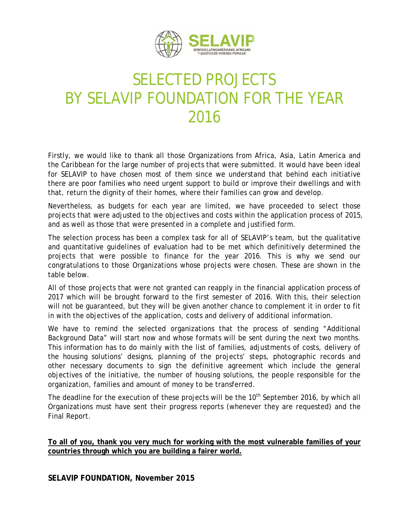

## SELECTED PROJECTS BY SELAVIP FOUNDATION FOR THE YEAR 2016

Firstly, we would like to thank all those Organizations from Africa, Asia, Latin America and the Caribbean for the large number of projects that were submitted. It would have been ideal for SELAVIP to have chosen most of them since we understand that behind each initiative there are poor families who need urgent support to build or improve their dwellings and with that, return the dignity of their homes, where their families can grow and develop.

Nevertheless, as budgets for each year are limited, we have proceeded to select those projects that were adjusted to the objectives and costs within the application process of 2015, and as well as those that were presented in a complete and justified form.

The selection process has been a complex task for all of SELAVIP's team, but the qualitative and quantitative guidelines of evaluation had to be met which definitively determined the projects that were possible to finance for the year 2016. This is why we send our congratulations to those Organizations whose projects were chosen. These are shown in the table below.

All of those projects that were not granted can reapply in the financial application process of 2017 which will be brought forward to the first semester of 2016. With this, their selection will not be guaranteed, but they will be given another chance to complement it in order to fit in with the objectives of the application, costs and delivery of additional information.

We have to remind the selected organizations that the process of sending "Additional Background Data" will start now and whose formats will be sent during the next two months. This information has to do mainly with the list of families, adjustments of costs, delivery of the housing solutions' designs, planning of the projects' steps, photographic records and other necessary documents to sign the definitive agreement which include the general objectives of the initiative, the number of housing solutions, the people responsible for the organization, families and amount of money to be transferred.

The deadline for the execution of these projects will be the 10<sup>th</sup> September 2016, by which all Organizations must have sent their progress reports (whenever they are requested) and the Final Report.

**To all of you, thank you very much for working with the most vulnerable families of your countries through which you are building a fairer world.**

**SELAVIP FOUNDATION, November 2015**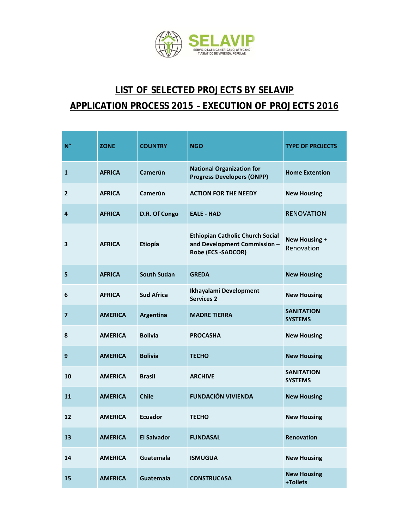

## **LIST OF SELECTED PROJECTS BY SELAVIP APPLICATION PROCESS 2015 – EXECUTION OF PROJECTS 2016**

| $N^{\circ}$             | <b>ZONE</b>    | <b>COUNTRY</b>     | <b>NGO</b>                                                                                    | <b>TYPE OF PROJECTS</b>             |
|-------------------------|----------------|--------------------|-----------------------------------------------------------------------------------------------|-------------------------------------|
| 1                       | <b>AFRICA</b>  | Camerún            | <b>National Organization for</b><br><b>Progress Developers (ONPP)</b>                         | <b>Home Extention</b>               |
| $\mathbf{2}$            | <b>AFRICA</b>  | Camerún            | <b>ACTION FOR THE NEEDY</b>                                                                   | <b>New Housing</b>                  |
| 4                       | <b>AFRICA</b>  | D.R. Of Congo      | <b>EALE - HAD</b>                                                                             | <b>RENOVATION</b>                   |
| 3                       | <b>AFRICA</b>  | Etiopía            | <b>Ethiopian Catholic Church Social</b><br>and Development Commission -<br>Robe (ECS -SADCOR) | New Housing +<br>Renovation         |
| 5                       | <b>AFRICA</b>  | <b>South Sudan</b> | <b>GREDA</b>                                                                                  | <b>New Housing</b>                  |
| 6                       | <b>AFRICA</b>  | <b>Sud Africa</b>  | Ikhayalami Development<br><b>Services 2</b>                                                   | <b>New Housing</b>                  |
| $\overline{\mathbf{z}}$ | <b>AMERICA</b> | Argentina          | <b>MADRE TIERRA</b>                                                                           | <b>SANITATION</b><br><b>SYSTEMS</b> |
| 8                       | <b>AMERICA</b> | <b>Bolivia</b>     | <b>PROCASHA</b>                                                                               | <b>New Housing</b>                  |
| 9                       | <b>AMERICA</b> | <b>Bolivia</b>     | <b>TECHO</b>                                                                                  | <b>New Housing</b>                  |
| 10                      | <b>AMERICA</b> | <b>Brasil</b>      | <b>ARCHIVE</b>                                                                                | <b>SANITATION</b><br><b>SYSTEMS</b> |
| 11                      | <b>AMERICA</b> | <b>Chile</b>       | <b>FUNDACIÓN VIVIENDA</b>                                                                     | <b>New Housing</b>                  |
| 12                      | <b>AMERICA</b> | <b>Ecuador</b>     | <b>TECHO</b>                                                                                  | <b>New Housing</b>                  |
| 13                      | <b>AMERICA</b> | <b>El Salvador</b> | <b>FUNDASAL</b>                                                                               | Renovation                          |
| 14                      | <b>AMERICA</b> | Guatemala          | <b>ISMUGUA</b>                                                                                | <b>New Housing</b>                  |
| 15                      | <b>AMERICA</b> | Guatemala          | <b>CONSTRUCASA</b>                                                                            | <b>New Housing</b><br>+Toilets      |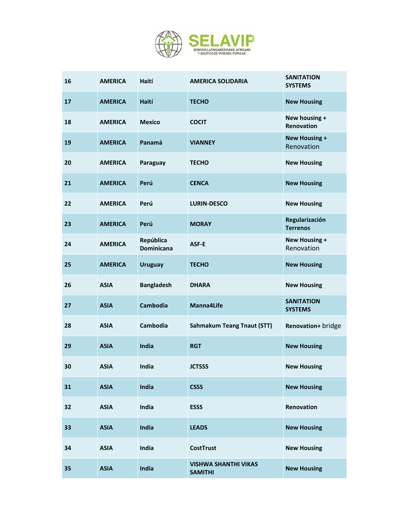

| 16 | <b>AMERICA</b> | Haití                          | <b>AMERICA SOLIDARIA</b>                      | <b>SANITATION</b><br><b>SYSTEMS</b> |
|----|----------------|--------------------------------|-----------------------------------------------|-------------------------------------|
| 17 | <b>AMERICA</b> | Haití                          | <b>TECHO</b>                                  | <b>New Housing</b>                  |
| 18 | <b>AMERICA</b> | <b>Mexico</b>                  | <b>COCIT</b>                                  | New housing +<br>Renovation         |
| 19 | <b>AMERICA</b> | Panamá                         | <b>VIANNEY</b>                                | <b>New Housing +</b><br>Renovation  |
| 20 | <b>AMERICA</b> | Paraguay                       | <b>TECHO</b>                                  | <b>New Housing</b>                  |
| 21 | <b>AMERICA</b> | Perú                           | <b>CENCA</b>                                  | <b>New Housing</b>                  |
| 22 | <b>AMERICA</b> | Perú                           | <b>LURIN-DESCO</b>                            | <b>New Housing</b>                  |
| 23 | <b>AMERICA</b> | Perú                           | <b>MORAY</b>                                  | Regularización<br><b>Terrenos</b>   |
| 24 | <b>AMERICA</b> | República<br><b>Dominicana</b> | ASF-E                                         | <b>New Housing +</b><br>Renovation  |
| 25 | <b>AMERICA</b> | <b>Uruguay</b>                 | <b>TECHO</b>                                  | <b>New Housing</b>                  |
| 26 | <b>ASIA</b>    | <b>Bangladesh</b>              | <b>DHARA</b>                                  | <b>New Housing</b>                  |
| 27 | <b>ASIA</b>    | <b>Cambodia</b>                | Manna4Life                                    | <b>SANITATION</b><br><b>SYSTEMS</b> |
| 28 | <b>ASIA</b>    | Cambodia                       | <b>Sahmakum Teang Tnaut (STT)</b>             | Renovation+ bridge                  |
| 29 | <b>ASIA</b>    | India                          | <b>RGT</b>                                    | <b>New Housing</b>                  |
| 30 | <b>ASIA</b>    | India                          | <b>JCTSSS</b>                                 | <b>New Housing</b>                  |
| 31 | <b>ASIA</b>    | India                          | <b>CSSS</b>                                   | <b>New Housing</b>                  |
| 32 | <b>ASIA</b>    | India                          | <b>ESSS</b>                                   | Renovation                          |
| 33 | <b>ASIA</b>    | India                          | <b>LEADS</b>                                  | <b>New Housing</b>                  |
| 34 | <b>ASIA</b>    | India                          | <b>CostTrust</b>                              | <b>New Housing</b>                  |
| 35 | <b>ASIA</b>    | India                          | <b>VISHWA SHANTHI VIKAS</b><br><b>SAMITHI</b> | <b>New Housing</b>                  |